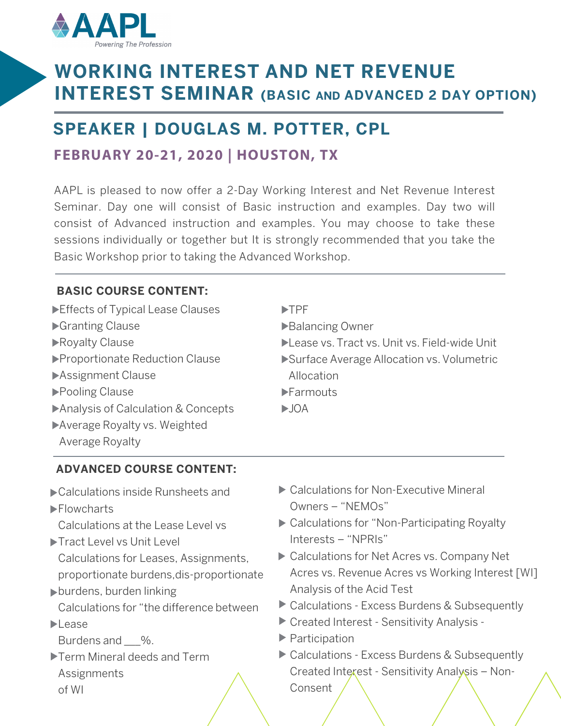

# **WORKING INTEREST AND NET REVENUE INTEREST SEMINAR (BASIC and ADVANCED 2 DAY OPTION)**

## **SPEAKER | DOUGLAS M. POTTER, CPL**

### **FEBRUARY 20-21, 2020 | HOUSTON, TX**

AAPL is pleased to now offer a 2-Day Working Interest and Net Revenue Interest Seminar. Day one will consist of Basic instruction and examples. Day two will consist of Advanced instruction and examples. You may choose to take these sessions individually or together but It is strongly recommended that you take the Basic Workshop prior to taking the Advanced Workshop.

### **BASIC COURSE CONTENT:**

| Effects of Typical Lease Clauses   | $\blacktriangleright$ TPF                    |  |  |
|------------------------------------|----------------------------------------------|--|--|
| Granting Clause                    | Balancing Owner                              |  |  |
| Royalty Clause                     | Lease vs. Tract vs. Unit vs. Field-wide Unit |  |  |
| ▶ Proportionate Reduction Clause   | Surface Average Allocation vs. Volumetric    |  |  |
| Assignment Clause                  | Allocation                                   |  |  |
| ▶ Pooling Clause                   | $\blacktriangleright$ Farmouts               |  |  |
| Analysis of Calculation & Concepts | $\blacktriangleright$ JOA                    |  |  |
| Average Royalty vs. Weighted       |                                              |  |  |
| Average Royalty                    |                                              |  |  |

### **ADVANCED COURSE CONTENT:**

- Calculations inside Runsheets and
- **Flowcharts**

Calculations at the Lease Level vs

- ▶ Tract Level vs Unit Level Calculations for Leases, Assignments, proportionate burdens,dis-proportionate
- burdens, burden linking Calculations for "the difference between
- $\blacktriangleright$  lease

Burdens and %.

Term Mineral deeds and Term **Assignments** of WI

- ▶ Calculations for Non-Executive Mineral Owners – "NEMOs"
- ▶ Calculations for "Non-Participating Royalty Interests – "NPRIs"
- ▶ Calculations for Net Acres vs. Company Net Acres vs. Revenue Acres vs Working Interest [WI] Analysis of the Acid Test
- ▶ Calculations Excess Burdens & Subsequently
- Created Interest Sensitivity Analysis -
- ▶ Participation
- ▶ Calculations Excess Burdens & Subsequently Created Interest - Sensitivity Analysis – Non-Consent